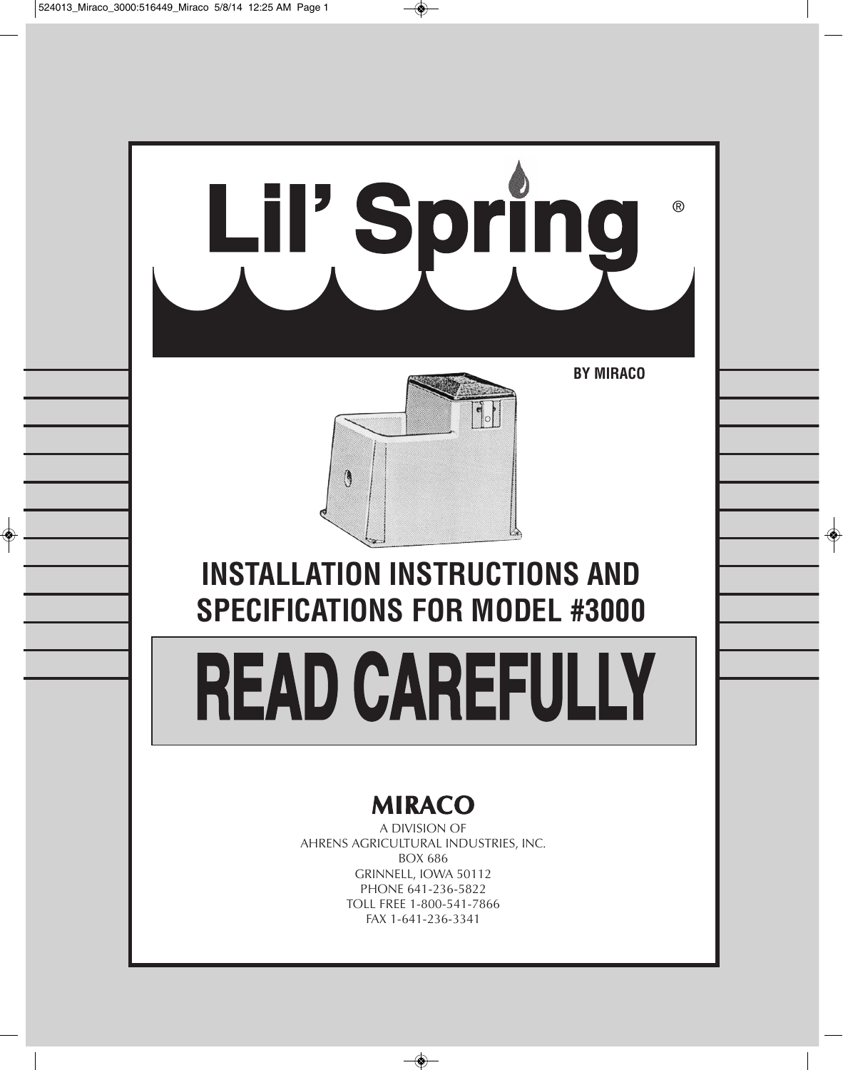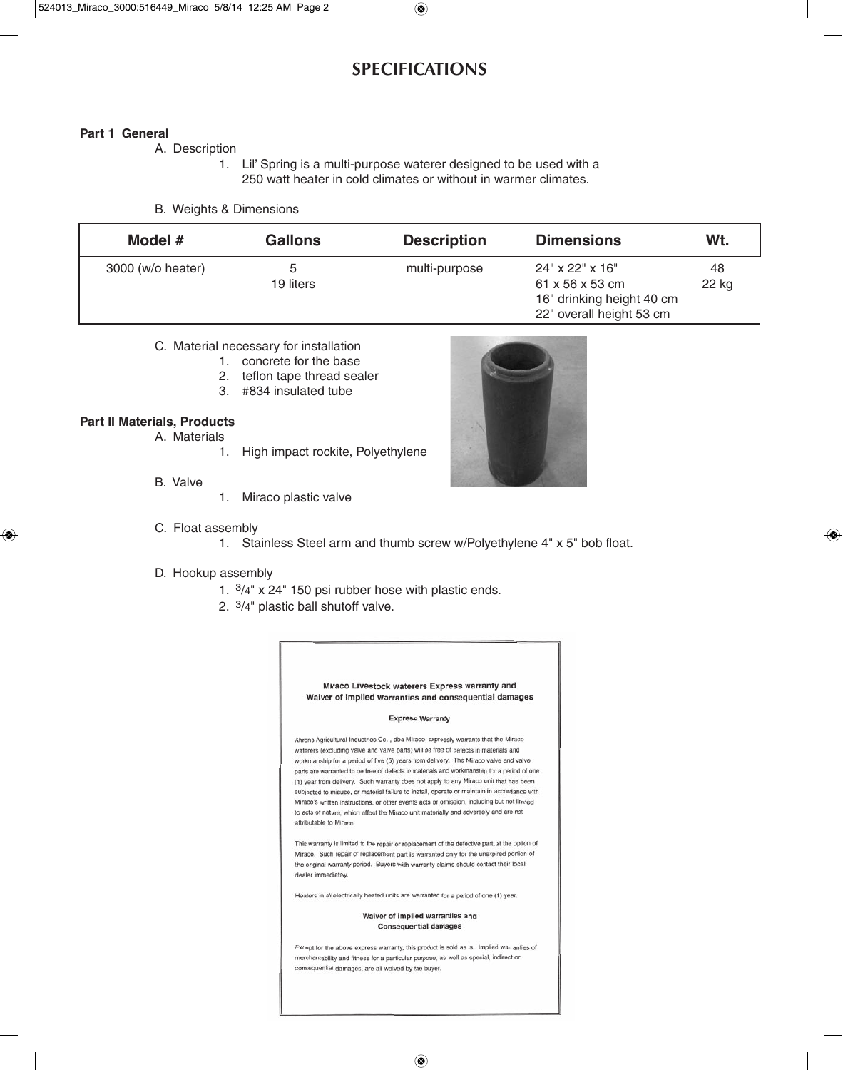# **SPECIFICATIONS**

### **Part 1 General**

A. Description

1. Lil' Spring is a multi-purpose waterer designed to be used with a 250 watt heater in cold climates or without in warmer climates.

#### B. Weights & Dimensions

| Model #           | <b>Gallons</b> | <b>Description</b> | <b>Dimensions</b>                                                                                       | Wt.         |
|-------------------|----------------|--------------------|---------------------------------------------------------------------------------------------------------|-------------|
| 3000 (w/o heater) | b<br>19 liters | multi-purpose      | $24" \times 22" \times 16"$<br>61 x 56 x 53 cm<br>16" drinking height 40 cm<br>22" overall height 53 cm | 48<br>22 kg |

### C. Material necessary for installation

- 1. concrete for the base
- 2. teflon tape thread sealer
- 3. #834 insulated tube

### **Part II Materials, Products**

- A. Materials
	- 1. High impact rockite, Polyethylene
- B. Valve
- 1. Miraco plastic valve



### C. Float assembly

1. Stainless Steel arm and thumb screw w/Polyethylene 4" x 5" bob float.

#### D. Hookup assembly

- 1. 3/4" x 24" 150 psi rubber hose with plastic ends.
- 2. 3/4" plastic ball shutoff valve.

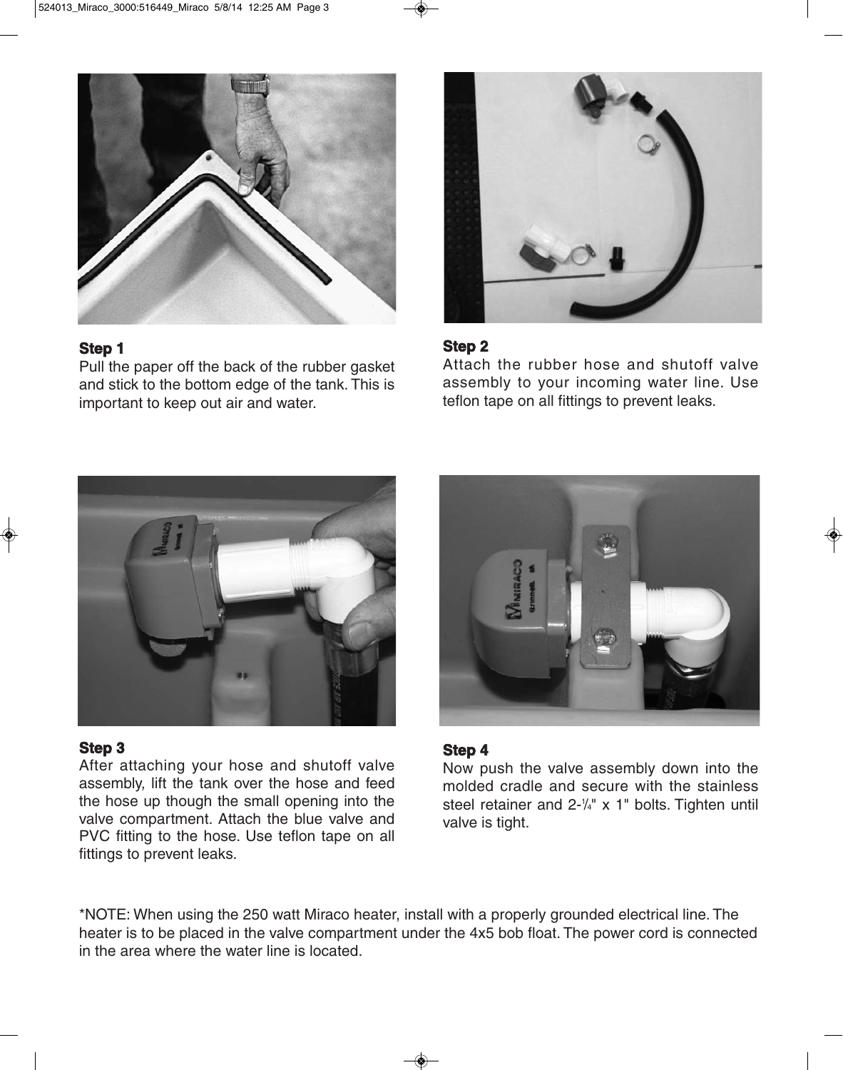

# **Step 1**

Pull the paper off the back of the rubber gasket and stick to the bottom edge of the tank. This is important to keep out air and water.



# **Step 2**

Attach the rubber hose and shutoff valve assembly to your incoming water line. Use teflon tape on all fittings to prevent leaks.



## **Step 3**

After attaching your hose and shutoff valve assembly, lift the tank over the hose and feed the hose up though the small opening into the valve compartment. Attach the blue valve and PVC fitting to the hose. Use teflon tape on all fittings to prevent leaks.



## **Step 4**

Now push the valve assembly down into the molded cradle and secure with the stainless steel retainer and  $2-\frac{1}{4}$ " x 1" bolts. Tighten until valve is tight.

\*NOTE: When using the 250 watt Miraco heater, install with a properly grounded electrical line. The heater is to be placed in the valve compartment under the 4x5 bob float. The power cord is connected in the area where the water line is located.